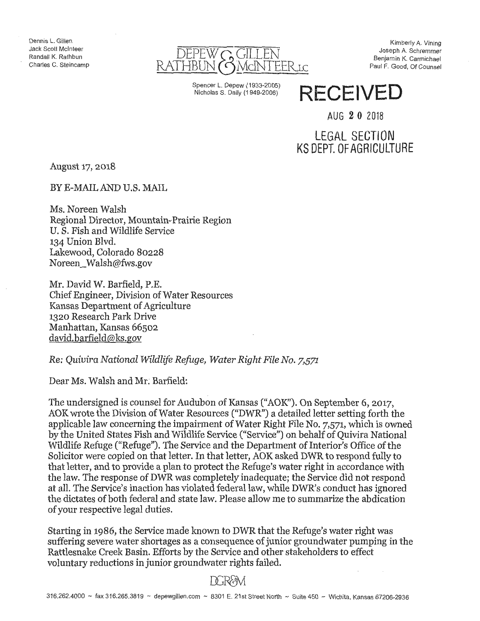Dennis L. Gillen Jack Scott Mclnteer Randall K. Rathbun Charles C. Steincamp



Spencer L. Depew (1933-2005) Nicholas S. Daily (1 949-2006)

Kimberly A. Vining Joseph A. Schremmer Benjamin K. Carmichael Paul F. Good, Of Counsel

# **RECEIVED**

AUG 2 0 2018

## LEGAL SECTiON KS DEPT. OF AGRICULTURE

 $\bar{z}$ 

August 17, 2018

BYE-MAILAND U.S. MAIL

Ms. Noreen Walsh Regional Director, Mountain-Prairie Region U. S. Fish and Wildlife Service 134 Union Blvd. Lakewood, Colorado 80228 Noreen\_ Walsh@fws.gov

Mr. David W. Barfield, P.E. Chief Engineer, Division of Water Resources Kansas Department of Agriculture 1320 Research Park Drive Manhattan, Kansas 66502 david.barfield@ks.gov

*Re: Quivira National Wildlife Refuge, Water Right File No. 7,571* 

Dear Ms. Walsh and Mr; Barfield:

The undersigned is counsel for Audubon of Kansas ("AOK"). On September 6, 2017, AOK wrote the Division of Water Resources ("DWR") a detailed letter setting forth the applicable law concerning the impairment of Water Right File No. 7,571, which is owned by the United States Fish and Wildlife Service ("Service") on behalf of Quivira National Wildlife Refuge ("Refuge"). The Service and the Department of Interior's Office of the Solicitor were copied on that letter. In that letter, AOK asked DWR to respond fully to that letter, and to provide a plan to protect the Refuge's water right in accordance with the law. The response of DWR was completely inadequate; the Service did not respond at all. The Service's inaction has violated federal law, while DWR's conduct has ignored the dictates of both federal and state law. Please allow me to summarize the abdication of your respective legal duties.

Starting in 1986, the Service made known to DWR that the Refuge's water right was suffering severe water shortages as a consequence of junior groundwater pumping in the Rattlesnake Creek Basin. Efforts by the Service and other stakeholders to effect voluntary reductions in junior groundwater rights failed. ·

## DCR&M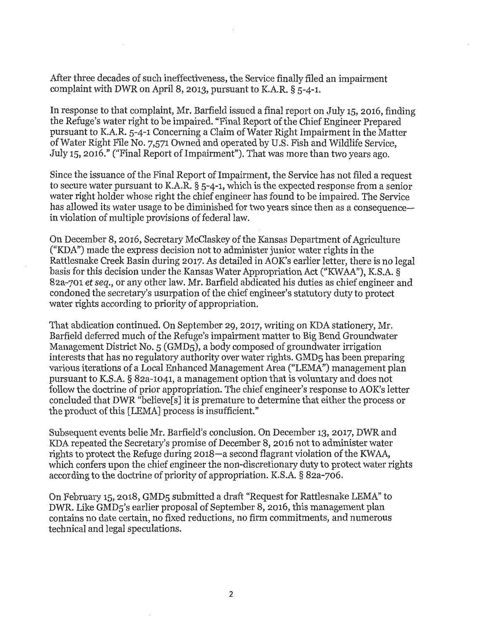After three decades of such ineffectiveness, the Service finally filed an impairment complaint with DWR on April 8, 2013, pursuant to K.A.R. § 5-4-1.

In response to that complaint, Mr. Barfield issued a final report on July 15, 2016, finding the Refuge's water right to be impaired. "Final Report of the Chief Engineer Prepared pursuant to K.A.R. 5-4-1 Concerning a Claim of Water Right Impairment in the Matter of Water Right File No. 7,571 Owned and operated by U.S. Fish and Wildlife Service, July 15, 2016." ("Final Report of Impairment"). That was more than two years ago.

Since the issuance of the Final Report of Impairment, the Service has not filed a request to secure water pursuant to K.A.R. § 5-4-1, which is the expected response from a senior water right holder whose right the chief engineer has found to be impaired. The Service has allowed its water usage to be diminished for two years since then as a consequencein violation of multiple provisions of federal law.

On December 8, 2016, Secretary Mcclaskey of the Kansas Department of Agriculture ("KDA") made the express decision not to administer junior water rights in the Rattlesnake Creek Basin during 2017. As detailed in AOK's earlier letter, there is no legal basis for this decision under the Kansas Water Appropriation Act ("KW AA''), K.S.A. § 82a-701 *et seq.,* or any other law. Mr. Barfield abdicated his duties as chief engineer and condoned the secretary's usurpation of the chief engineer's statutory duty to protect water rights according to priority of appropriation.

That abdication continued. On September. 29, 2017, writing on KDA stationery, Mr. Barfield deferred much of the Refuge's impairment matter to Big Bend Groundwater Management District No. 5 (GMD5), a body composed of groundwater irrigation interests that has no regulatory authority over water rights. GMD5 has been preparing various iterations of a Local Enhanced Management Area ("LEMA") management plan pursuant to K.S.A. § 82a-1041, a management option that is voluntary and does not follow the doctrine of prior appropriation. The chief engineer's response to AOK's letter concluded that DWR "believe[s] it is premature to determine that either the process or the product of this [LEMA] process is insufficient."

Subsequent events belie Mr. Barfield's conclusion. On December 13, 2017, DWR and KDA repeated the Secretary's promise of December 8, 2016 not to administer water rights to protect the Refuge during 2018-a second flagrant violation of the KWAA, which confers upon the chief engineer the non-discretionary duty to protect water rights according to the doctrine of priority of appropriation. K.S.A. § 82a-706.

On February 15, 2018, GMD5 submitted a draft "Request for Rattlesnake LEMA" to DWR. Like GMD5's earlier proposal of September 8, 2016, this management plan contains no date certain, no fixed reductions, no firm commitments, and numerous technical and legal speculations.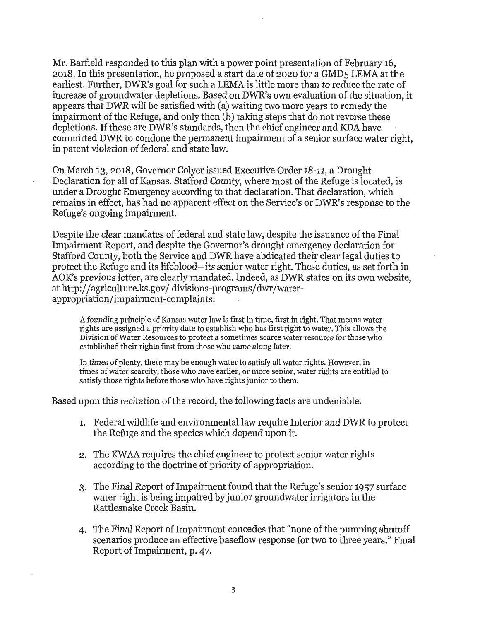Mr. Barfield responded to this plan with a power point presentation of February 16, 2018. In this presentation, he proposed a start date of 2020 for a GMD5 LEMA at the earliest. Further, DWR's goal for such a LEMA is little more than to reduce the rate of increase of groundwater depletions. Based on DWR's own evaluation of the situation, it appears that DWR will be satisfied with (a) waiting two more years to remedy the impairment of the Refuge, and only then (b) taking steps that do not reverse these depletions. If these are DWR's standards, then the chief engineer and KDA have committed DWR to condone the permanent impairment of a senior surface water right, in patent violation of federal and state law.

On March 13, 2018, Governor Colyer issued Executive Order 18-11, a Drought Declaration for all of Kansas. Stafford County, where most of the Refuge is located, is under a Drought Emergency according to that declaration. That declaration, which remains in effect, has had no apparent effect on the Service's or DWR's response to the Refuge's ongoing impairment.

Despite the clear mandates of federal and state law, despite the issuance of the Final Impairment Report, and despite the Governor's drought emergency declaration for Stafford County, both the Service and DWR have abdicated their clear legal duties to protect the Refuge and its lifeblood-its senior water right. These duties, as set forth in AO K's previous letter, are clearly mandated. Indeed, as DWR states on its own website, at http://agriculture.ks.gov/ divisions-programs/dwr/waterappropriation/impairment-complaints:

A founding principle of Kansas water law is first in time, first in right. That means water rights are assigned a priority date to establish who has first right to water. This allows the Division of Water Resources to protect a sometimes scarce water resource for those who established their rights first from those who came along later.

In times of plenty, there may be enough water to satisfy all water rights. However, in times of water scarcity, those who have earlier, or more senior, water rights are entitled to satisfy those rights before those who have rights junior to them.

Based upon this recitation of the record, the following facts are undeniable.

- 1. Federal wildlife and environmental law require Interior and DWR to protect the Refuge and the species which depend upon it.
- 2. The KW AA requires the chief engineer to protect senior water rights according to the doctrine of priority of appropriation.
- 3. The Final Report of Impairment found that the Refuge's senior 1957 surface water right is being impaired by junior groundwater irrigators in the Rattlesnake Creek Basin.
- 4. The Final Report of Impairment concedes that "none of the pumping shutoff scenarios produce an effective baseflow response for two to three years." Final Report of Impairment, p. 47.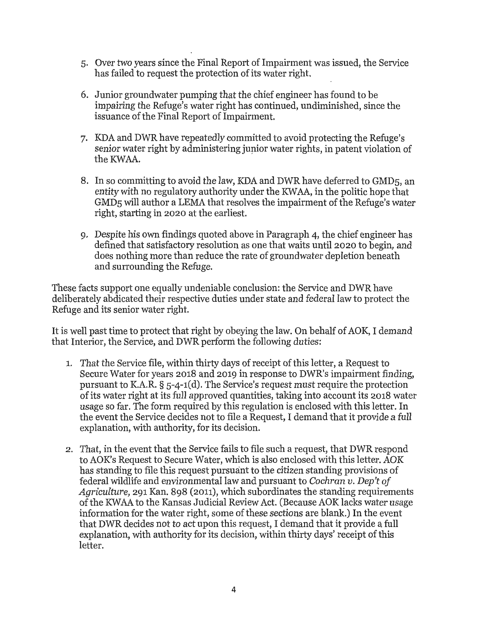- 5. Over two years since the Final Report of Impairment was issued, the Service has failed to request the protection of its water right.
- 6. Junior groundwater pumping that the chief engineer has found to be impairing the Refuge's water right has continued, undiminished, since the issuance of the Final Report of Impairment.
- 7. I<DA and DWR have repeatedly committed to avoid protecting the Refuge's senior water right by administering junior water rights, in patent violation of the KWAA.
- 8. In so committing to avoid the law, KDA and DWR have deferred to GMD5, an entity with no regulatory authority under the KW AA, in the politic hope that GMD5 will author a LEMA that resolves the impairment of the Refuge's water right, starting in 2020 at the earliest.
- 9. Despite his own findings quoted above in Paragraph 4, the chief engineer has defined that satisfactory resolution as one that waits until 2020 to begin, and does nothing more than reduce the rate of groundwater depletion beneath and surrounding the Refuge.

These facts support one equally undeniable conclusion: the Service and DWR have deliberately abdicated their respective duties under state and federal law to protect the Refuge and its senior water right.

It is well past time to protect that right by obeying the law. On behalf of AOK, I demand that Interior, the Service, and DWR perform the following duties:

- 1. That the Service file, within thirty days of receipt of this letter, a Request to Secure Water for years 2018 and 2019 in response to DWR's impairment finding, pursuant to K.A.R. § 5-4-1(d). The Service's request must require the protection of its water right at its full approved quantities, taking into account its 2018 water usage so far. The form required by this regulation is enclosed with this letter. In the event the Service decides not to file a Request, I demand that it provide a full explanation, with authority, for its decision.
- 2. That, in the event that the Service fails to file such a request, that DWR respond to AOK's Request to Secure Water, which is also enclosed with this letter. AOK has standing to file this request pursuant to the citizen standing provisions of federal wildlife and environmental law and pursuant to *Cochran v. Dep't of Agriculture,* 291 Kan. 898 (2011), which subordinates the standing requirements of the KW AA to the Kansas Judicial Review Act. (Because AOK lacks water usage information for the water right, some of these sections are blank.) In the event that DWR decides not to act upon this request, I demand that it provide a full explanation, with authority for its decision, within thirty days' receipt of this letter.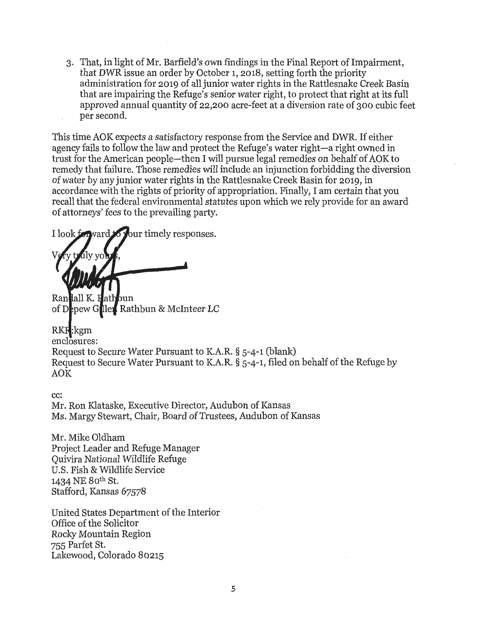3. That, in light of Mr. Barfield's own findings in the Final Report of Impairment, that DWR issue an order by October 1, 2018, setting forth the priority administration for 2019 of all junior water rights in the Rattlesnake Creek Basin that are impairing the Refuge's senior water right, to protect that right at its full approved annual quantity of 22,200 acre-feet at a diversion rate of 300 cubic feet per second.

This time AOK expects a satisfactory response from the Service and DWR. If either agency fails to follow the law and protect the Refuge's water right-a right owned in trust for the American people-then I will pursue legal remedies on behalf of AOK to remedy that failure. Those remedies will include an injunction forbidding the diversion of water by any junior water rights in the Rattlesnake Creek Basin for 2019, in accordance with the rights of priority of appropriation. Finally, I am certain that you recall that the federal environmental statutes upon which we rely provide for an award of attorneys' fees to the prevailing party.

I look f  $\sqrt{x}$ ur timely responses.

Randall K. Hath bun of Depew Giller Rathbun & McInteer LC

RKR:kgm enclosures: Request to Secure Water Pursuant to K.A.R. § 5-4-1 (blank) Request to Secure Water Pursuant to K.A.R. § 5-4-1, filed on behalf of the Refuge by AOK

cc: Mr. Ron Klataske, Executive Director, Audubon of Kansas Ms. Margy Stewart, Chair, Board of Trustees, Audubon of Kansas

Mr. Mike Oldham Project Leader and Refuge Manager Quivira National Wildlife Refuge U.S. Fish & Wildlife Service 1434 NE Both St. Stafford, Kansas 67578

United States Department of the Interior Office of the Solicitor Rocky Mountain Region 755 Parfet St. Lakewood, Colorado 80215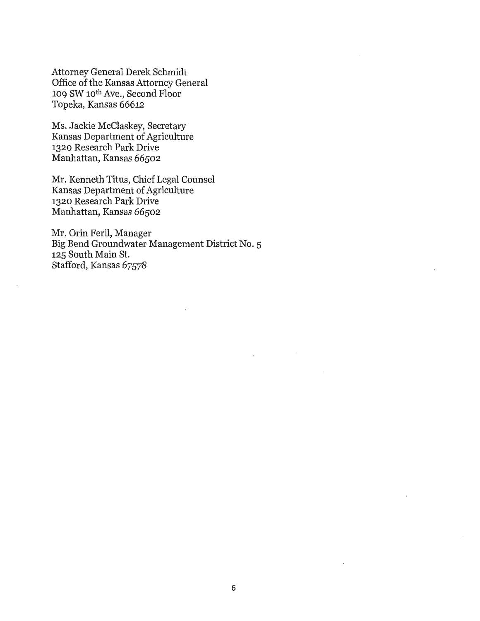Attorney General Derek Schmidt Office of the Kansas Attorney General 109 SW 10th Ave., Second Floor Topeka, Kansas 66612

Ms. Jackie Mcclaskey, Secretary Kansas Department of Agriculture 1320 Research Park Drive Manhattan, Kansas 66502

Mr. Kenneth Titus, Chief Legal Counsel Kansas Department of Agriculture 1320 Research Park Drive Manhattan, Kansas 66502

Mr. Orin Feril, Manager Big Bend Groundwater Management District No. 5 125 South Main St. Stafford, Kansas 67578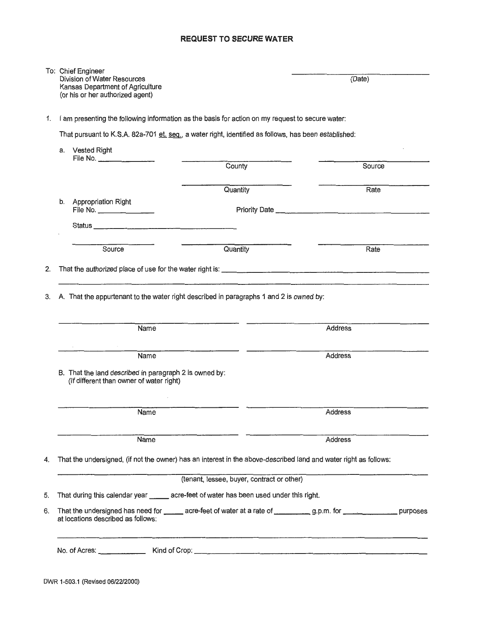#### **REQUEST TO SECURE WATER**

|    |                                                                                                  | To: Chief Engineer<br>Division of Water Resources<br>Kansas Department of Agriculture<br>(or his or her authorized agent) |                                            | (Date)         |  |
|----|--------------------------------------------------------------------------------------------------|---------------------------------------------------------------------------------------------------------------------------|--------------------------------------------|----------------|--|
| 1. | I am presenting the following information as the basis for action on my request to secure water: |                                                                                                                           |                                            |                |  |
|    |                                                                                                  | That pursuant to K.S.A. 82a-701 et. seq., a water right, identified as follows, has been established:                     |                                            |                |  |
|    |                                                                                                  | a. Vested Right<br>File No. ___________________                                                                           |                                            |                |  |
|    |                                                                                                  |                                                                                                                           | County                                     | Source         |  |
|    |                                                                                                  |                                                                                                                           | Quantity                                   | Rate           |  |
|    | b.                                                                                               | <b>Appropriation Right</b>                                                                                                |                                            |                |  |
|    |                                                                                                  |                                                                                                                           |                                            |                |  |
|    |                                                                                                  | Source                                                                                                                    | Quantity                                   | Rate           |  |
| 2. |                                                                                                  |                                                                                                                           |                                            |                |  |
|    |                                                                                                  |                                                                                                                           |                                            |                |  |
|    |                                                                                                  | Name                                                                                                                      |                                            | <b>Address</b> |  |
|    |                                                                                                  | <b>Name</b>                                                                                                               |                                            | Address        |  |
|    |                                                                                                  | B. That the land described in paragraph 2 is owned by:<br>(If different than owner of water right)                        |                                            |                |  |
|    |                                                                                                  | Name                                                                                                                      |                                            | Address        |  |
|    |                                                                                                  | Name                                                                                                                      |                                            | Address        |  |
| 4. |                                                                                                  | That the undersigned, (if not the owner) has an interest in the above-described land and water right as follows:          |                                            |                |  |
|    |                                                                                                  |                                                                                                                           | (tenant, lessee, buyer, contract or other) |                |  |
| 5. |                                                                                                  | That during this calendar year ______ acre-feet of water has been used under this right.                                  |                                            |                |  |
| 6. |                                                                                                  | at locations described as follows:                                                                                        |                                            |                |  |
|    |                                                                                                  |                                                                                                                           |                                            |                |  |
|    |                                                                                                  |                                                                                                                           |                                            |                |  |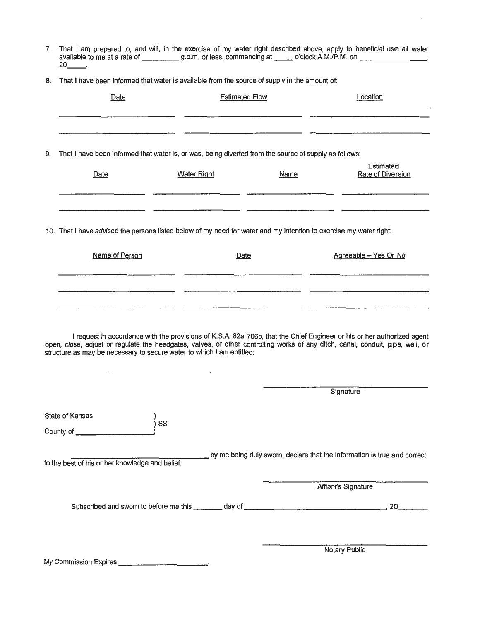- 7. That I am prepared to, and will, in the exercise of my water right described above, apply to beneficial use all water available to me at a rate of g.p.m. or less, commencing at \_\_ o'clock A.M./P.M. on-------- 20 \_\_ .
- 8. That I have been informed that water is available from the source of supply in the amount of:

|    | Date                                                                                                                                                                                                    |                    | <b>Estimated Flow</b> | Location                                                                                                               |
|----|---------------------------------------------------------------------------------------------------------------------------------------------------------------------------------------------------------|--------------------|-----------------------|------------------------------------------------------------------------------------------------------------------------|
|    |                                                                                                                                                                                                         |                    |                       |                                                                                                                        |
| 9. | That I have been informed that water is, or was, being diverted from the source of supply as follows:                                                                                                   |                    |                       |                                                                                                                        |
|    | Date                                                                                                                                                                                                    | <b>Water Right</b> | <u>Name</u>           | Estimated<br>Rate of Diversion                                                                                         |
|    | 10. That I have advised the persons listed below of my need for water and my intention to exercise my water right:                                                                                      |                    |                       |                                                                                                                        |
|    | Name of Person                                                                                                                                                                                          |                    | Date                  | Agreeable - Yes Or No                                                                                                  |
|    | open, close, adjust or regulate the headgates, valves, or other controlling works of any ditch, canal, conduit, pipe, well, or<br>structure as may be necessary to secure water to which I am entitled: |                    |                       | I request in accordance with the provisions of K.S.A. 82a-706b, that the Chief Engineer or his or her authorized agent |
|    |                                                                                                                                                                                                         |                    |                       | Signature                                                                                                              |
|    | State of Kansas<br>SS<br>County of __________________                                                                                                                                                   |                    |                       |                                                                                                                        |
|    | to the best of his or her knowledge and belief.                                                                                                                                                         |                    |                       | by me being duly sworn, declare that the information is true and correct                                               |
|    |                                                                                                                                                                                                         |                    |                       | Affiant's Signature                                                                                                    |
|    |                                                                                                                                                                                                         |                    |                       |                                                                                                                        |
|    |                                                                                                                                                                                                         |                    |                       |                                                                                                                        |
|    | My Commission Expires _____________________________                                                                                                                                                     |                    |                       | Notary Public                                                                                                          |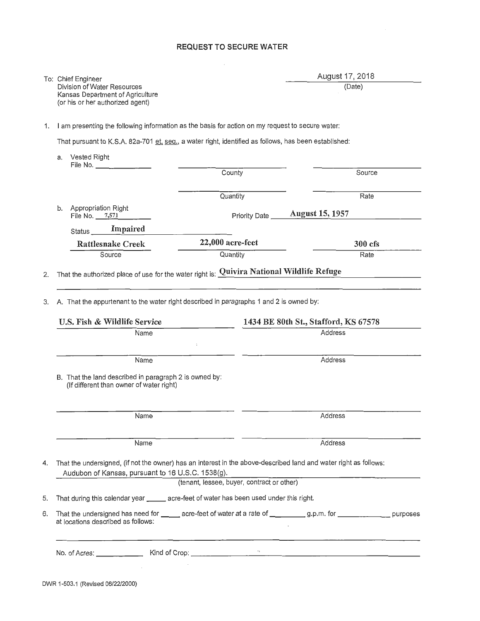#### **REQUEST TO SECURE WATER**

 $\mathcal{L}_{\mathcal{A}}$ 

| To: Chief Engineer               |
|----------------------------------|
| Division of Water Resources      |
| Kansas Department of Agriculture |
| (or his or her authorized agent) |

### August 17, 2018

(Date)

1. I am presenting the following information as the basis for action on my request to secure water:

That pursuant to K.S.A. 82a-701 et. seq., a water right, identified as follows, has been established:

|    | a.                           | <b>Vested Right</b><br>File No. ______________                                                     |                                            |                                                                                                                            |  |
|----|------------------------------|----------------------------------------------------------------------------------------------------|--------------------------------------------|----------------------------------------------------------------------------------------------------------------------------|--|
|    |                              |                                                                                                    | County                                     | Source                                                                                                                     |  |
|    |                              |                                                                                                    | Quantity                                   | Rate                                                                                                                       |  |
|    | b.                           | Appropriation Right<br>File No. 7,571                                                              | Priority Date                              | <b>August 15, 1957</b>                                                                                                     |  |
|    |                              | Impaired<br>Status                                                                                 |                                            |                                                                                                                            |  |
|    |                              | <b>Rattlesnake Creek</b>                                                                           | 22,000 acre-feet                           | 300 cfs                                                                                                                    |  |
|    |                              | Source                                                                                             | Quantity                                   | Rate                                                                                                                       |  |
| 2. |                              | That the authorized place of use for the water right is: $\frac{Quivira National Wildlife Refuge}$ |                                            |                                                                                                                            |  |
| 3. |                              | A. That the appurtenant to the water right described in paragraphs 1 and 2 is owned by:            |                                            |                                                                                                                            |  |
|    | U.S. Fish & Wildlife Service |                                                                                                    |                                            | 1434 BE 80th St., Stafford, KS 67578                                                                                       |  |
|    |                              | Name                                                                                               |                                            | <b>Address</b>                                                                                                             |  |
|    |                              | Name                                                                                               | ÷                                          | Address                                                                                                                    |  |
|    |                              | B. That the land described in paragraph 2 is owned by:<br>(If different than owner of water right) |                                            |                                                                                                                            |  |
|    |                              | Name                                                                                               |                                            | Address                                                                                                                    |  |
|    |                              | Name                                                                                               |                                            | Address                                                                                                                    |  |
| 4. |                              | Audubon of Kansas, pursuant to 16 U.S.C. 1538(g).                                                  | (tenant, lessee, buyer, contract or other) | That the undersigned, (if not the owner) has an interest in the above-described land and water right as follows:           |  |
|    |                              | That during this calendar year _______ acre-feet of water has been used under this right.          |                                            |                                                                                                                            |  |
| 5. |                              |                                                                                                    |                                            |                                                                                                                            |  |
| 6. |                              | at locations described as follows:                                                                 |                                            | That the undersigned has need for ______ acre-feet of water at a rate of ___________ g.p.m. for _________________ purposes |  |
|    |                              |                                                                                                    | $\cdot$ :                                  | <u> 1989 - Andrea State Barbara, amerikan personal di sebagai personal di sebagai personal di sebagai personal d</u>       |  |
|    |                              |                                                                                                    |                                            |                                                                                                                            |  |